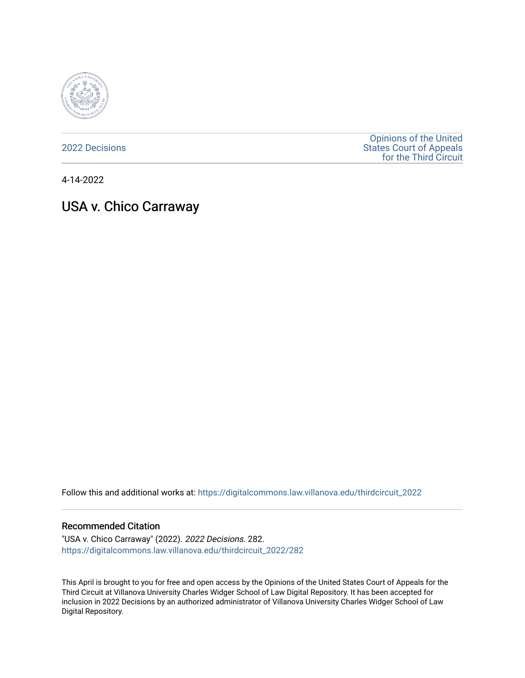

[2022 Decisions](https://digitalcommons.law.villanova.edu/thirdcircuit_2022)

[Opinions of the United](https://digitalcommons.law.villanova.edu/thirdcircuit)  [States Court of Appeals](https://digitalcommons.law.villanova.edu/thirdcircuit)  [for the Third Circuit](https://digitalcommons.law.villanova.edu/thirdcircuit) 

4-14-2022

# USA v. Chico Carraway

Follow this and additional works at: [https://digitalcommons.law.villanova.edu/thirdcircuit\\_2022](https://digitalcommons.law.villanova.edu/thirdcircuit_2022?utm_source=digitalcommons.law.villanova.edu%2Fthirdcircuit_2022%2F282&utm_medium=PDF&utm_campaign=PDFCoverPages) 

#### Recommended Citation

"USA v. Chico Carraway" (2022). 2022 Decisions. 282. [https://digitalcommons.law.villanova.edu/thirdcircuit\\_2022/282](https://digitalcommons.law.villanova.edu/thirdcircuit_2022/282?utm_source=digitalcommons.law.villanova.edu%2Fthirdcircuit_2022%2F282&utm_medium=PDF&utm_campaign=PDFCoverPages)

This April is brought to you for free and open access by the Opinions of the United States Court of Appeals for the Third Circuit at Villanova University Charles Widger School of Law Digital Repository. It has been accepted for inclusion in 2022 Decisions by an authorized administrator of Villanova University Charles Widger School of Law Digital Repository.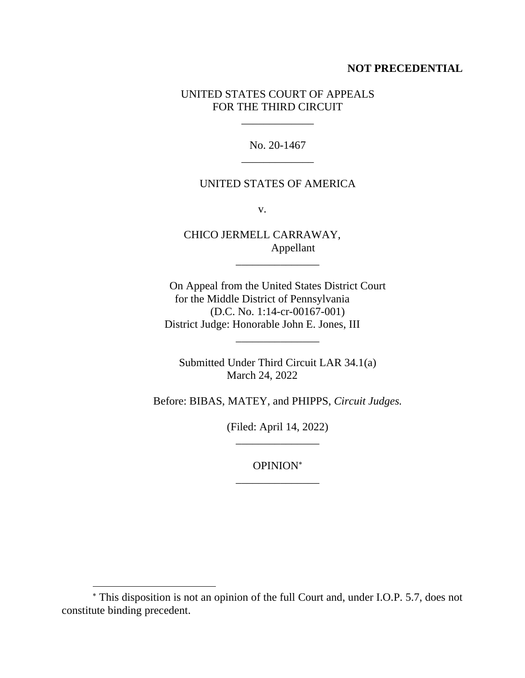### **NOT PRECEDENTIAL**

## UNITED STATES COURT OF APPEALS FOR THE THIRD CIRCUIT

\_\_\_\_\_\_\_\_\_\_\_\_\_

No. 20-1467 \_\_\_\_\_\_\_\_\_\_\_\_\_

## UNITED STATES OF AMERICA

v.

CHICO JERMELL CARRAWAY, Appellant

On Appeal from the United States District Court for the Middle District of Pennsylvania (D.C. No. 1:14-cr-00167-001) District Judge: Honorable John E. Jones, III

\_\_\_\_\_\_\_\_\_\_\_\_\_\_\_

Submitted Under Third Circuit LAR 34.1(a) March 24, 2022

\_\_\_\_\_\_\_\_\_\_\_\_\_\_\_

Before: BIBAS, MATEY, and PHIPPS, *Circuit Judges.*

(Filed: April 14, 2022) \_\_\_\_\_\_\_\_\_\_\_\_\_\_\_

OPINION \_\_\_\_\_\_\_\_\_\_\_\_\_\_\_

This disposition is not an opinion of the full Court and, under I.O.P. 5.7, does not constitute binding precedent.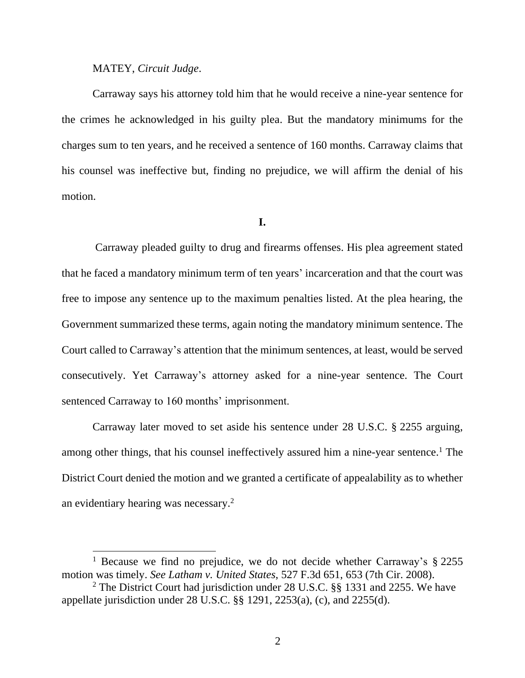#### MATEY, *Circuit Judge*.

Carraway says his attorney told him that he would receive a nine-year sentence for the crimes he acknowledged in his guilty plea. But the mandatory minimums for the charges sum to ten years, and he received a sentence of 160 months. Carraway claims that his counsel was ineffective but, finding no prejudice, we will affirm the denial of his motion.

#### **I.**

Carraway pleaded guilty to drug and firearms offenses. His plea agreement stated that he faced a mandatory minimum term of ten years' incarceration and that the court was free to impose any sentence up to the maximum penalties listed. At the plea hearing, the Government summarized these terms, again noting the mandatory minimum sentence. The Court called to Carraway's attention that the minimum sentences, at least, would be served consecutively. Yet Carraway's attorney asked for a nine-year sentence. The Court sentenced Carraway to 160 months' imprisonment.

Carraway later moved to set aside his sentence under 28 U.S.C. § 2255 arguing, among other things, that his counsel ineffectively assured him a nine-year sentence.<sup>1</sup> The District Court denied the motion and we granted a certificate of appealability as to whether an evidentiary hearing was necessary. 2

<sup>&</sup>lt;sup>1</sup> Because we find no prejudice, we do not decide whether Carraway's  $\S$  2255 motion was timely. *See Latham v. United States*, 527 F.3d 651, 653 (7th Cir. 2008).

<sup>2</sup> The District Court had jurisdiction under 28 U.S.C. §§ 1331 and 2255. We have appellate jurisdiction under 28 U.S.C. §§ 1291, 2253(a), (c), and 2255(d).